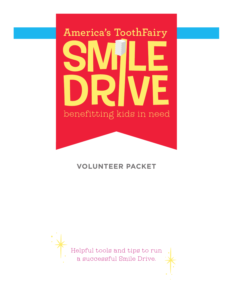# America's ToothFairy benefitting kids in need

# **VOLUNTEER PACKET**

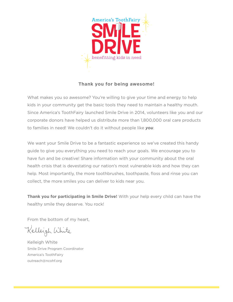

# **Thank you for being awesome!**

What makes you so awesome? You're willing to give your time and energy to help kids in your community get the basic tools they need to maintain a healthy mouth. Since America's ToothFairy launched Smile Drive in 2014, volunteers like you and our corporate donors have helped us distribute more than 1,800,000 oral care products to families in need! We couldn't do it without people like *you*.

We want your Smile Drive to be a fantastic experience so we've created this handy guide to give you everything you need to reach your goals. We encourage you to have fun and be creative! Share information with your community about the oral health crisis that is devestating our nation's most vulnerable kids and how they can help. Most importantly, the more toothbrushes, toothpaste, floss and rinse you can collect, the more smiles you can deliver to kids near you.

**Thank you for participating in Smile Drive!** With your help every child can have the healthy smile they deserve. You rock!

From the bottom of my heart,

Kelleigh White

Kelleigh White Smile Drive Program Coordinator America's ToothFairy outreach@ncohf.org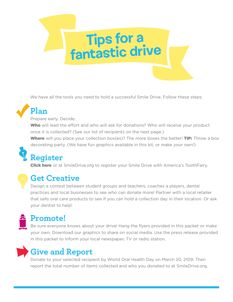

We have all the tools you need to hold a successful Smile Drive. Follow these steps:

# **Plan**

Prepare early. Decide:

Who will lead the effort and who will ask for donations? Who will receive your product once it is collected? (See our list of recipients on the next page.)

Where will you place your collection box(es)? The more boxes the better! TIP: Throw a box decorating party. (We have fun graphics available in this kit, or make your own!)

# **Register**

**[Click here](https://cdrake.wufoo.com/forms/m6tt9nh00zbkmv/)** or at SmileDrive.org to register your Smile Drive with America's ToothFairy.



# **Get Creative**

Design a contest between student groups and teachers, coaches a players, dental practices and local businesses to see who can donate more! Partner with a local retailer that sells oral care products to see if you can hold a collection day in their location. Or ask your dentist to help!

# **Promote!**

Be sure everyone knows about your drive! Hang the flyers provided in this packet or make your own. Download our graphics to share on social media. Use the press release provided in this packet to inform your local newspaper, TV or radio station.



# **Give and Report**

Donate to your selected recipient by World Oral Health Day on March 20, 2109. Then report the total number of items collected and who you donated to at SmileDrive.org.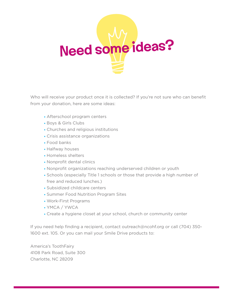# Need some ideas?

Who will receive your product once it is collected? If you're not sure who can benefit from your donation, here are some ideas:

- · Afterschool program centers
- · Boys & Girls Clubs
- · Churches and religious institutions
- · Crisis assistance organizations
- · Food banks
- · Halfway houses
- · Homeless shelters
- · Nonprofit dental clinics
- · Nonprofit organizations reaching underserved children or youth
- · Schools (especially Title 1 schools or those that provide a high number of free and reduced lunches.)
- · Subsidized childcare centers
- · Summer Food Nutrition Program Sites
- · Work-First Programs
- · YMCA / YWCA
- · Create a hygiene closet at your school, church or community center

If you need help finding a recipient, contact outreach@ncohf.org or call (704) 350- 1600 ext. 105. Or you can mail your Smile Drive products to:

America's ToothFairy 4108 Park Road, Suite 300 Charlotte, NC 28209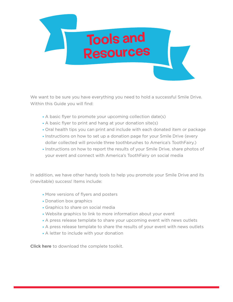

We want to be sure you have everything you need to hold a successful Smile Drive. Within this Guide you will find:

- · A basic flyer to promote your upcoming collection date(s)
- · A basic flyer to print and hang at your donation site(s)
- · Oral health tips you can print and include with each donated item or package
- · Instructions on how to set up a donation page for your Smile Drive (every dollar collected will provide three toothbrushes to America's ToothFairy.)
- · Instructions on how to report the results of your Smile Drive, share photos of your event and connect with America's ToothFairy on social media

In addition, we have other handy tools to help you promote your Smile Drive and its (inevitable) success! Items include:

- · More versions of flyers and posters
- · Donation box graphics
- · Graphics to share on social media
- · Website graphics to link to more information about your event
- · A press release template to share your upcoming event with news outlets
- · A press release template to share the results of your event with news outlets
- · A letter to include with your donation

**[Click here](https://drive.google.com/file/d/1Y9etPhSdA-m9KHunD-mdlDr9qFXPih4q/view?usp=sharing)** to download the complete toolkit.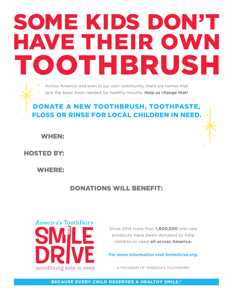# SOME KIDS DON'T HAVE THEIR OWN OOTHBRUSH

Across America and even in our own community, there are homes that lack the basic tools needed for healthy mouths. **Help us change that!**

# DONATE A NEW TOOTHBRUSH, TOOTHPASTE, FLOSS OR RINSE FOR LOCAL CHILDREN IN NEED.

WHEN:

HOSTED BY:

WHERE:

# DONATIONS WILL BENEFIT:



Since 2014 more than **1,800,000** oral care products have been donated to help children in need **all across America.**

**For more information visit SmileDrive.org.**

A PROGRAM OF AMERICA'S TOOTHFAIRY

# **BECAUSE EVERY CHILD DESERVES A HEALTHY SMILE.®**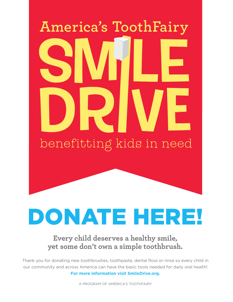# **America's ToothFairy** benefitting kids in need

# DONATE HERE!

# **Every child deserves a healthy smile, yet some don't own a simple toothbrush.**

Thank you for donating new toothbrushes, toothpaste, dental floss or rinse so every child in our community and across America can have the basic tools needed for daily oral health! **For more information visit SmileDrive.org.**

A PROGRAM OF AMERICA'S TOOTHFAIRY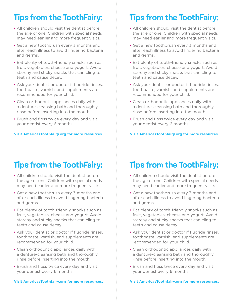# Tips from the ToothFairy:

- All children should visit the dentist before the age of one. Children with special needs may need earlier and more frequent visits.
- Get a new toothbrush every 3 months and after each illness to avoid lingering bacteria and germs.
- Eat plenty of tooth-friendly snacks such as fruit, vegetables, cheese and yogurt. Avoid starchy and sticky snacks that can cling to teeth and cause decay.
- Ask your dentist or doctor if fluoride rinses, toothpaste, varnish, and supplements are recommended for your child.
- Clean orthodontic appliances daily with a denture-cleansing bath and thoroughly rinse before inserting into the mouth.
- Brush and floss twice every day and visit your dentist every 6 months!

**Visit AmericasToothfairy.org for more resources.**

# Tips from the ToothFairy:

- All children should visit the dentist before the age of one. Children with special needs may need earlier and more frequent visits.
- Get a new toothbrush every 3 months and after each illness to avoid lingering bacteria and germs.
- Eat plenty of tooth-friendly snacks such as fruit, vegetables, cheese and yogurt. Avoid starchy and sticky snacks that can cling to teeth and cause decay.
- Ask your dentist or doctor if fluoride rinses, toothpaste, varnish, and supplements are recommended for your child.
- Clean orthodontic appliances daily with a denture-cleansing bath and thoroughly rinse before inserting into the mouth.
- Brush and floss twice every day and visit your dentist every 6 months!

## **Visit AmericasToothfairy.org for more resources.**

# Tips from the ToothFairy:

- All children should visit the dentist before the age of one. Children with special needs may need earlier and more frequent visits.
- Get a new toothbrush every 3 months and after each illness to avoid lingering bacteria and germs.
- Eat plenty of tooth-friendly snacks such as fruit, vegetables, cheese and yogurt. Avoid starchy and sticky snacks that can cling to teeth and cause decay.
- Ask your dentist or doctor if fluoride rinses, toothpaste, varnish, and supplements are recommended for your child.
- Clean orthodontic appliances daily with a denture-cleansing bath and thoroughly rinse before inserting into the mouth.
- Brush and floss twice every day and visit your dentist every 6 months!

### **Visit AmericasToothfairy.org for more resources.**

# Tips from the ToothFairy:

- All children should visit the dentist before the age of one. Children with special needs may need earlier and more frequent visits.
- Get a new toothbrush every 3 months and after each illness to avoid lingering bacteria and germs.
- Eat plenty of tooth-friendly snacks such as fruit, vegetables, cheese and yogurt. Avoid starchy and sticky snacks that can cling to teeth and cause decay.
- Ask your dentist or doctor if fluoride rinses, toothpaste, varnish, and supplements are recommended for your child.
- Clean orthodontic appliances daily with a denture-cleansing bath and thoroughly rinse before inserting into the mouth.
- Brush and floss twice every day and visit your dentist every 6 months!

### **Visit AmericasToothfairy.org for more resources.**